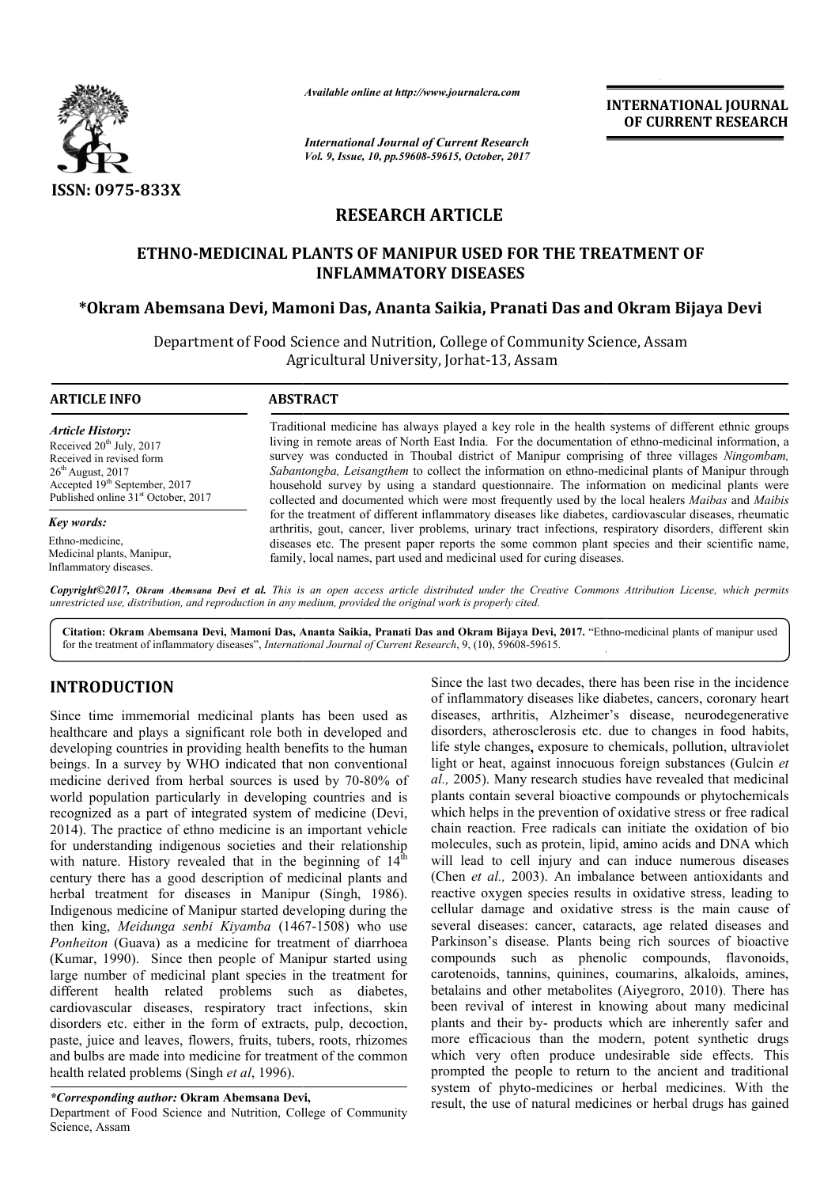

*Available online at http://www.journalcra.com*

*International Journal of Current Research Vol. 9, Issue, 10, pp.59608-59615, October, 2017* **INTERNATIONAL JOURNAL OF CURRENT RESEARCH** 

# **RESEARCH ARTICLE**

# **ETHNO-MEDICINAL PLANTS OF MANIPUR USED FOR THE TREATMENT OF MEDICINAL INFLAMMATORY DISEASES** ETHNO-MEDICINAL PLANTS OF MANIPUR USED FOR THE TREATMENT OF<br>INFLAMMATORY DISEASES<br>Okram Abemsana Devi, Mamoni Das, Ananta Saikia, Pranati Das and Okram Bijaya Devi\*

Department of Food Science and Nutrition, College of Community Science, Assam Science, Agricultural University, Jorhat-13, Assam

#### **ARTICLE INFO ABSTRACT**

*Article History:* Received  $20^{th}$  July,  $2017$ Received in revised form  $26<sup>th</sup>$  August,  $2017$ Accepted 19<sup>th</sup> September, 2017 Published online 31<sup>st</sup> October, 2017

*Key words:*

Ethno-medicine, Medicinal plants, Manipur, Inflammatory diseases.

Traditional medicine has always played a key role in the health systems of different ethnic groups Traditional medicine has always played a key role in the health systems of different ethnic groups<br>living in remote areas of North East India. For the documentation of ethno-medicinal information, a survey was conducted in Thoubal district of Manipur comprising of three villages *Ningombam*, Sabantongba, Leisangthem to collect the information on ethno-medicinal plants of Manipur through Sabantongba, Leisangthem to collect the information on ethno-medicinal plants of Manipur through household survey by using a standard questionnaire. The information on medicinal plants were collected and documented which were most frequently used by the local healers *Maibas* and *Maibis* for the treatment of different inflammatory diseases like diabetes, cardiovascular diseases, rheumatic for the treatment of different inflammatory diseases like diabetes, cardiovascular diseases, rheumatic arthritis, gout, cancer, liver problems, urinary tract infections, respiratory disorders, different skin diseases etc. The present paper reports the some common plant species and their scientific name, family, local names, part used and medicinal used for curing diseases. family, local names, part used and medicinal used for curing diseases.

Copyright©2017, Okram Abemsana Devi et al. This is an open access article distributed under the Creative Commons Attribution License, which permits *unrestricted use, distribution, and reproduction in any medium, provided the original work is properly cited.*

Citation: Okram Abemsana Devi, Mamoni Das, Ananta Saikia, Pranati Das and Okram Bijaya Devi, 2017. "Ethno-medicinal plants of manipur used for the treatment of inflammatory diseases", *International Journal of Current Research* , 9, (10), 59608-59615.

# **INTRODUCTION**

Since time immemorial medicinal plants has been used as healthcare and plays a significant role both in developed and developing countries in providing health benefits to the human beings. In a survey by WHO indicated that non conventional medicine derived from herbal sources is used by 70 70-80% of world population particularly in developing countries and is recognized as a part of integrated system of medicine (Devi, 2014). The practice of ethno medicine is an important vehicle for understanding indigenous societies and their relationship for understanding indigenous societies and their relationship with nature. History revealed that in the beginning of  $14<sup>th</sup>$ century there has a good description of medicinal plants and herbal treatment for diseases in Manipur (Singh, 1986). Indigenous medicine of Manipur started developing during the then king, *Meidunga senbi Kiyamba* (1467 (1467-1508) who use *Ponheiton* (Guava) as a medicine for treatment of diarrhoea (Kumar, 1990). Since then people of Manipur started using large number of medicinal plant species in the treatment for different health related problems such as diabetes, cardiovascular diseases, respiratory tract infections, skin disorders etc. either in the form of extracts, pulp, decoction, paste, juice and leaves, flowers, fruits, tubers, roots, rhizomes and bulbs are made into medicine for treatment of the common health related problems (Singh *et al*, 1996).

### *\*Corresponding author:* **Okram Abemsana Devi,**

Department of Food Science and Nutrition, College of Community Science, Assam

for the statement of the material statement of the statement of the statement of the matter of the matter of the matter of the matter of the matter of the matter of the term of the term of the term of the term of the term Since the last two decades, there has been rise in the incidence of inflammatory diseases like diabetes, cancers, coronary heart diseases, arthritis, Alzheimer's disease, neurodegenerative disorders, atherosclerosis etc. due to changes in food habits, life style changes**,** exposure to chemicals, pollution, ultraviolet light or heat, against innocuous foreign substances (Gulcin et *al.,* 2005). Many research studies have revealed that medicinal plants contain several bioactive compounds or phytochemicals which helps in the prevention of oxidative stress or free radical chain reaction. Free radicals can initiate the oxidation of bio molecules, such as protein, lipid, amino acids and DNA which will lead to cell injury and can induce numerous diseases (Chen *et al.,* 2003). An imbalance between antioxidants and reactive oxygen species results in oxidative stress, leading to cellular damage and oxidative stress is the main cause of several diseases: cancer, cataracts, age related diseases and Parkinson's disease. Plants being rich sources of bioactive compounds such as phenolic compounds, flavonoids, carotenoids, tannins, quinines, coumarins, alkaloids, amines, betalains and other metabolites (Aiyegroro, 2010). There has been revival of interest in knowing about many medicinal plants and their by- products which are inherently safer and more efficacious than the modern, potent synthetic drugs which very often produce undesirable side effects. This prompted the people to return to the ancient and traditional system of phyto-medicines or herbal medicines. With the result, the use of natural medicines or herbal drugs has gained 13, 39006-39013.<br>
13, 139006-39013.<br>
13. last two decades, there has been rise in the incidence<br>
13. and the incidence disease, and a coronary heart<br>
13. at a disease, neurodegenerative<br>
14. at a changes in food habits, al., 2005). Many research studies have revealed that medicinal plants contain several bioactive compounds or phytochemicals which helps in the prevention of oxidative stress or free radical chain reaction. Free radicals c **EXERCTI CONSTRAIT CONSTRAIT CONSTRAINATION CONSTRAINATION CONSTRAINATION CONSTRAINATION CONSTRAINATION CONSTRAINATION CONSTRAINATION CONSTRAINATION CONSTRAINATION CONSTRAINATION CONSTRAINATION CONSTRAINATION CONSTRAINATIO**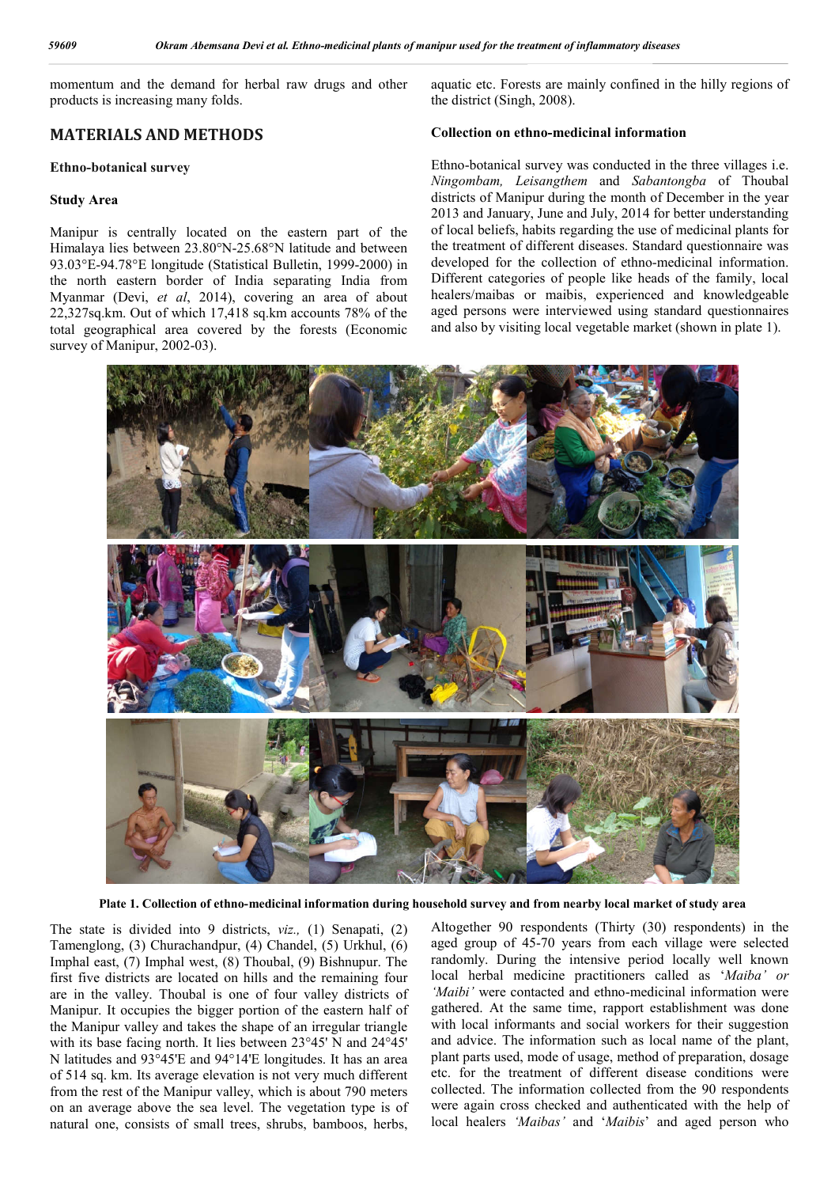momentum and the demand for herbal raw drugs and other products is increasing many folds.

# **MATERIALS AND METHODS**

#### **Ethno-botanical survey**

### **Study Area**

Manipur is centrally located on the eastern part of the Himalaya lies between 23.80°N-25.68°N latitude and between 93.03°E-94.78°E longitude (Statistical Bulletin, 1999-2000) in the north eastern border of India separating India from Myanmar (Devi, *et al*, 2014), covering an area of about 22,327sq.km. Out of which 17,418 sq.km accounts 78% of the total geographical area covered by the forests (Economic survey of Manipur, 2002-03).

aquatic etc. Forests are mainly confined in the hilly regions of the district (Singh, 2008).

### **Collection on ethno-medicinal information**

Ethno-botanical survey was conducted in the three villages i.e. *Ningombam, Leisangthem* and *Sabantongba* of Thoubal districts of Manipur during the month of December in the year 2013 and January, June and July, 2014 for better understanding of local beliefs, habits regarding the use of medicinal plants for the treatment of different diseases. Standard questionnaire was developed for the collection of ethno-medicinal information. Different categories of people like heads of the family, local healers/maibas or maibis, experienced and knowledgeable aged persons were interviewed using standard questionnaires and also by visiting local vegetable market (shown in plate 1).



**Plate 1. Collection of ethno-medicinal information during household survey and from nearby local market of study area**

The state is divided into 9 districts, *viz.,* (1) Senapati, (2) Tamenglong, (3) Churachandpur, (4) Chandel, (5) Urkhul, (6) Imphal east, (7) Imphal west, (8) Thoubal, (9) Bishnupur. The first five districts are located on hills and the remaining four are in the valley. Thoubal is one of four valley districts of Manipur. It occupies the bigger portion of the eastern half of the Manipur valley and takes the shape of an irregular triangle with its base facing north. It lies between 23°45' N and 24°45' N latitudes and 93°45'E and 94°14'E longitudes. It has an area of 514 sq. km. Its average elevation is not very much different from the rest of the Manipur valley, which is about 790 meters on an average above the sea level. The vegetation type is of natural one, consists of small trees, shrubs, bamboos, herbs,

Altogether 90 respondents (Thirty (30) respondents) in the aged group of 45-70 years from each village were selected randomly. During the intensive period locally well known local herbal medicine practitioners called as '*Maiba' or 'Maibi'* were contacted and ethno-medicinal information were gathered. At the same time, rapport establishment was done with local informants and social workers for their suggestion and advice. The information such as local name of the plant, plant parts used, mode of usage, method of preparation, dosage etc. for the treatment of different disease conditions were collected. The information collected from the 90 respondents were again cross checked and authenticated with the help of local healers *'Maibas'* and '*Maibis*' and aged person who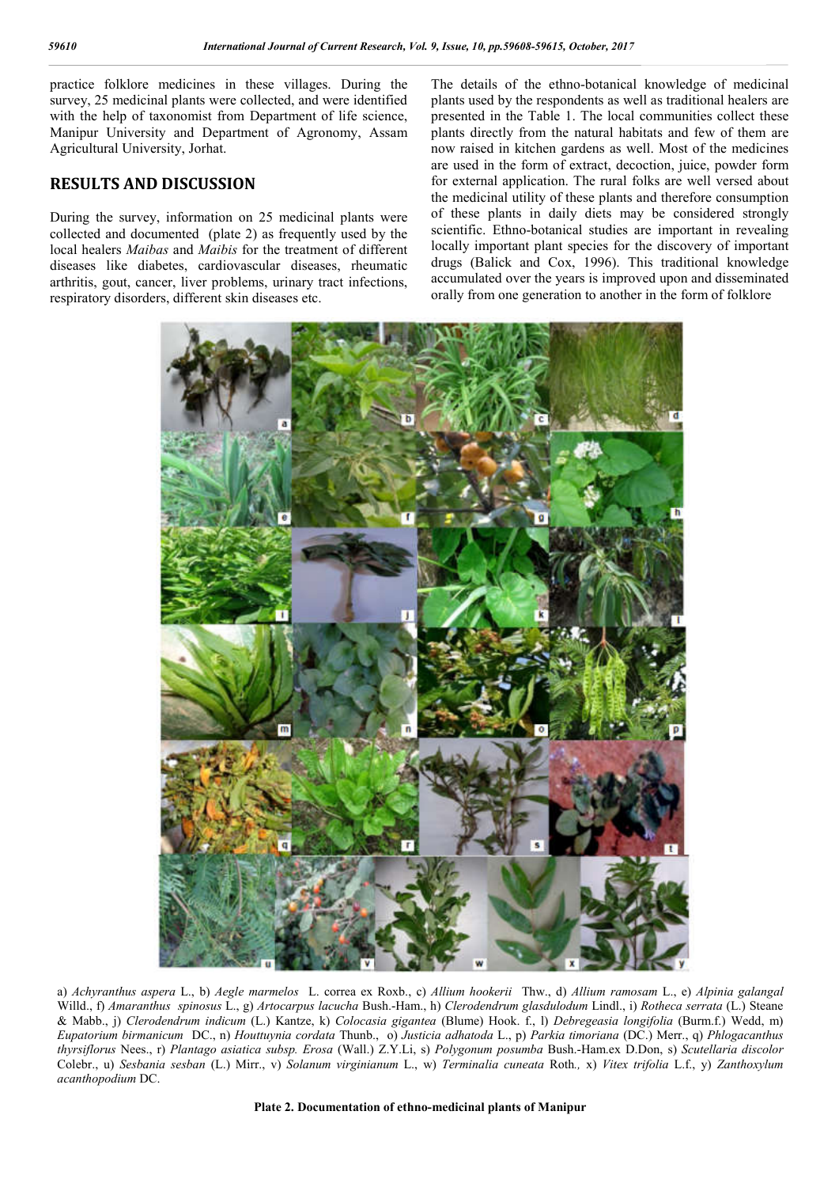practice folklore medicines in these villages. During the survey, 25 medicinal plants were collected, and were identified with the help of taxonomist from Department of life science, Manipur University and Department of Agronomy, Assam Agricultural University, Jorhat.

# **RESULTS AND DISCUSSION**

During the survey, information on 25 medicinal plants were collected and documented (plate 2) as frequently used by the local healers *Maibas* and *Maibis* for the treatment of different diseases like diabetes, cardiovascular diseases, rheumatic arthritis, gout, cancer, liver problems, urinary tract infections, respiratory disorders, different skin diseases etc.

```
The details of the ethno-botanical knowledge of medicinal 
plants used by the respondents as well as traditional healers are 
presented in the Table 1. The local communities collect these 
plants directly from the natural habitats and few of them are 
now raised in kitchen gardens as well. Most of the medicines 
are used in the form of extract, decoction, juice, powder form 
for external application. The rural folks are well versed about 
the medicinal utility of these plants and therefore consumption 
of these plants in daily diets may be considered strongly 
scientific. Ethno-botanical studies are important in revealing 
locally important plant species for the discovery of important 
drugs (Balick and Cox, 1996). This traditional knowledge 
accumulated over the years is improved upon and disseminated 
orally from one generation to another in the form of folklore
```


a) *Achyranthus aspera* L., b) *Aegle marmelos* L. correa ex Roxb., c) *Allium hookerii* Thw., d) *Allium ramosam* L., e) *Alpinia galangal*  Willd., f) *Amaranthus spinosus* L., g) *Artocarpus lacucha* Bush.-Ham., h) *Clerodendrum glasdulodum* Lindl., i) *Rotheca serrata* (L.) Steane & Mabb., j) *Clerodendrum indicum* (L.) Kantze, k) *Colocasia gigantea* (Blume) Hook. f., l) *Debregeasia longifolia* (Burm.f.) Wedd, m) *Eupatorium birmanicum* DC., n) *Houttuynia cordata* Thunb., o) *Justicia adhatoda* L., p) *Parkia timoriana* (DC.) Merr., q) *Phlogacanthus thyrsiflorus* Nees., r) *Plantago asiatica subsp. Erosa* (Wall.) Z.Y.Li, s) *Polygonum posumba* Bush.-Ham.ex D.Don, s) *Scutellaria discolor*  Colebr., u) *Sesbania sesban* (L.) Mirr., v) *Solanum virginianum* L., w) *Terminalia cuneata* Roth*.,* x) *Vitex trifolia* L.f., y) *Zanthoxylum acanthopodium* DC.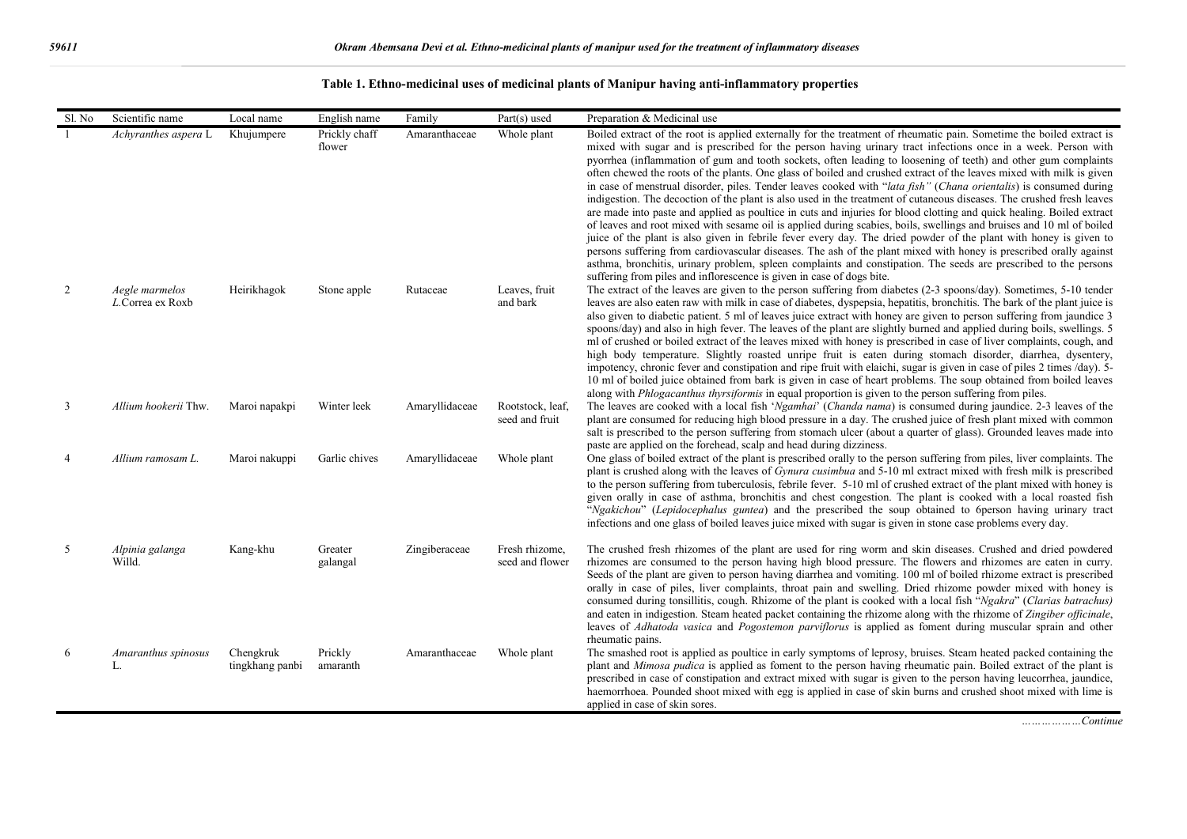| Sl. No | Scientific name                    | Local name                   | English name            | Family         | Part(s) used                       | Preparation & Medicinal use                                                                                                                                                                                                                                                                                                                                                                                                                                                                                                                                                                                                                                                                                                                                                                                                                                                                                                                                                                                                                                                                                                                                                                                                                                                                                                                                                                                            |
|--------|------------------------------------|------------------------------|-------------------------|----------------|------------------------------------|------------------------------------------------------------------------------------------------------------------------------------------------------------------------------------------------------------------------------------------------------------------------------------------------------------------------------------------------------------------------------------------------------------------------------------------------------------------------------------------------------------------------------------------------------------------------------------------------------------------------------------------------------------------------------------------------------------------------------------------------------------------------------------------------------------------------------------------------------------------------------------------------------------------------------------------------------------------------------------------------------------------------------------------------------------------------------------------------------------------------------------------------------------------------------------------------------------------------------------------------------------------------------------------------------------------------------------------------------------------------------------------------------------------------|
|        | Achyranthes aspera L               | Khujumpere                   | Prickly chaff<br>flower | Amaranthaceae  | Whole plant                        | Boiled extract of the root is applied externally for the treatment of rheumatic pain. Sometime the boiled extract is<br>mixed with sugar and is prescribed for the person having urinary tract infections once in a week. Person with<br>pyorrhea (inflammation of gum and tooth sockets, often leading to loosening of teeth) and other gum complaints<br>often chewed the roots of the plants. One glass of boiled and crushed extract of the leaves mixed with milk is given<br>in case of menstrual disorder, piles. Tender leaves cooked with "lata fish" (Chana orientalis) is consumed during<br>indigestion. The decoction of the plant is also used in the treatment of cutaneous diseases. The crushed fresh leaves<br>are made into paste and applied as poultice in cuts and injuries for blood clotting and quick healing. Boiled extract<br>of leaves and root mixed with sesame oil is applied during scabies, boils, swellings and bruises and 10 ml of boiled<br>juice of the plant is also given in febrile fever every day. The dried powder of the plant with honey is given to<br>persons suffering from cardiovascular diseases. The ash of the plant mixed with honey is prescribed orally against<br>asthma, bronchitis, urinary problem, spleen complaints and constipation. The seeds are prescribed to the persons<br>suffering from piles and inflorescence is given in case of dogs bite. |
| 2      | Aegle marmelos<br>L.Correa ex Roxb | Heirikhagok                  | Stone apple             | Rutaceae       | Leaves, fruit<br>and bark          | The extract of the leaves are given to the person suffering from diabetes (2-3 spoons/day). Sometimes, 5-10 tender<br>leaves are also eaten raw with milk in case of diabetes, dyspepsia, hepatitis, bronchitis. The bark of the plant juice is<br>also given to diabetic patient. 5 ml of leaves juice extract with honey are given to person suffering from jaundice 3<br>spoons/day) and also in high fever. The leaves of the plant are slightly burned and applied during boils, swellings. 5<br>ml of crushed or boiled extract of the leaves mixed with honey is prescribed in case of liver complaints, cough, and<br>high body temperature. Slightly roasted unripe fruit is eaten during stomach disorder, diarrhea, dysentery,<br>impotency, chronic fever and constipation and ripe fruit with elaichi, sugar is given in case of piles 2 times /day). 5-<br>10 ml of boiled juice obtained from bark is given in case of heart problems. The soup obtained from boiled leaves<br>along with <i>Phlogacanthus thyrsiformis</i> in equal proportion is given to the person suffering from piles.                                                                                                                                                                                                                                                                                                            |
| 3      | Allium hookerii Thw.               | Maroi napakpi                | Winter leek             | Amaryllidaceae | Rootstock, leaf,<br>seed and fruit | The leaves are cooked with a local fish 'Ngamhai' (Chanda nama) is consumed during jaundice. 2-3 leaves of the<br>plant are consumed for reducing high blood pressure in a day. The crushed juice of fresh plant mixed with common<br>salt is prescribed to the person suffering from stomach ulcer (about a quarter of glass). Grounded leaves made into<br>paste are applied on the forehead, scalp and head during dizziness.                                                                                                                                                                                                                                                                                                                                                                                                                                                                                                                                                                                                                                                                                                                                                                                                                                                                                                                                                                                       |
|        | Allium ramosam L.                  | Maroi nakuppi                | Garlic chives           | Amaryllidaceae | Whole plant                        | One glass of boiled extract of the plant is prescribed orally to the person suffering from piles, liver complaints. The<br>plant is crushed along with the leaves of Gynura cusimbua and 5-10 ml extract mixed with fresh milk is prescribed<br>to the person suffering from tuberculosis, febrile fever. 5-10 ml of crushed extract of the plant mixed with honey is<br>given orally in case of asthma, bronchitis and chest congestion. The plant is cooked with a local roasted fish<br>"Ngakichou" (Lepidocephalus guntea) and the prescribed the soup obtained to 6person having urinary tract<br>infections and one glass of boiled leaves juice mixed with sugar is given in stone case problems every day.                                                                                                                                                                                                                                                                                                                                                                                                                                                                                                                                                                                                                                                                                                     |
| 5      | Alpinia galanga<br>Willd.          | Kang-khu                     | Greater<br>galangal     | Zingiberaceae  | Fresh rhizome,<br>seed and flower  | The crushed fresh rhizomes of the plant are used for ring worm and skin diseases. Crushed and dried powdered<br>rhizomes are consumed to the person having high blood pressure. The flowers and rhizomes are eaten in curry.<br>Seeds of the plant are given to person having diarrhea and vomiting. 100 ml of boiled rhizome extract is prescribed<br>orally in case of piles, liver complaints, throat pain and swelling. Dried rhizome powder mixed with honey is<br>consumed during tonsillitis, cough. Rhizome of the plant is cooked with a local fish "Ngakra" (Clarias batrachus)<br>and eaten in indigestion. Steam heated packet containing the rhizome along with the rhizome of Zingiber officinale,<br>leaves of Adhatoda vasica and Pogostemon parviflorus is applied as foment during muscular sprain and other<br>rheumatic pains.                                                                                                                                                                                                                                                                                                                                                                                                                                                                                                                                                                     |
| 6      | Amaranthus spinosus<br>L.          | Chengkruk<br>tingkhang panbi | Prickly<br>amaranth     | Amaranthaceae  | Whole plant                        | The smashed root is applied as poultice in early symptoms of leprosy, bruises. Steam heated packed containing the<br>plant and Mimosa pudica is applied as foment to the person having rheumatic pain. Boiled extract of the plant is<br>prescribed in case of constipation and extract mixed with sugar is given to the person having leucorrhea, jaundice,<br>haemorrhoea. Pounded shoot mixed with egg is applied in case of skin burns and crushed shoot mixed with lime is<br>applied in case of skin sores.                                                                                                                                                                                                                                                                                                                                                                                                                                                                                                                                                                                                                                                                                                                                                                                                                                                                                                      |

## **Table 1. Ethno-medicinal uses of medicinal plants of Manipur having anti-inflammatory properties**

*………………Continue*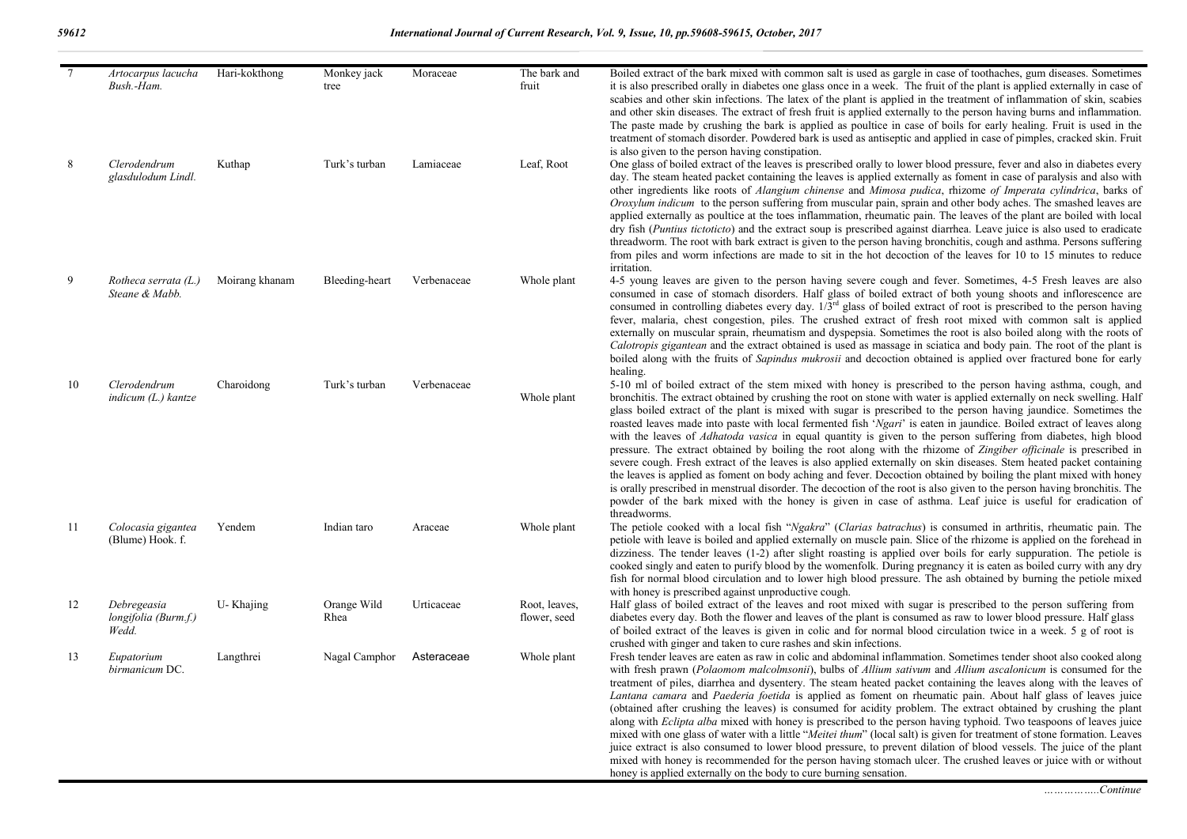| $7\overline{ }$ | Artocarpus lacucha<br>Bush.-Ham.             | Hari-kokthong  | Monkey jack<br>tree | Moraceae    | The bark and<br>fruit         | Boiled extract of the bark mixed with common salt is used as gargle in case of toothaches, gum diseases. Sometimes<br>it is also prescribed orally in diabetes one glass once in a week. The fruit of the plant is applied externally in case of<br>scabies and other skin infections. The latex of the plant is applied in the treatment of inflammation of skin, scabies<br>and other skin diseases. The extract of fresh fruit is applied externally to the person having burns and inflammation.<br>The paste made by crushing the bark is applied as poultice in case of boils for early healing. Fruit is used in the                                                                                                                                                                                                                                                                                                                                                                                                                                                                                                                                                                                                                 |
|-----------------|----------------------------------------------|----------------|---------------------|-------------|-------------------------------|---------------------------------------------------------------------------------------------------------------------------------------------------------------------------------------------------------------------------------------------------------------------------------------------------------------------------------------------------------------------------------------------------------------------------------------------------------------------------------------------------------------------------------------------------------------------------------------------------------------------------------------------------------------------------------------------------------------------------------------------------------------------------------------------------------------------------------------------------------------------------------------------------------------------------------------------------------------------------------------------------------------------------------------------------------------------------------------------------------------------------------------------------------------------------------------------------------------------------------------------|
| 8               | Clerodendrum<br>glasdulodum Lindl.           | Kuthap         | Turk's turban       | Lamiaceae   | Leaf, Root                    | treatment of stomach disorder. Powdered bark is used as antiseptic and applied in case of pimples, cracked skin. Fruit<br>is also given to the person having constipation.<br>One glass of boiled extract of the leaves is prescribed orally to lower blood pressure, fever and also in diabetes every<br>day. The steam heated packet containing the leaves is applied externally as foment in case of paralysis and also with<br>other ingredients like roots of <i>Alangium chinense</i> and <i>Mimosa pudica</i> , rhizome of Imperata cylindrica, barks of<br>Oroxylum indicum to the person suffering from muscular pain, sprain and other body aches. The smashed leaves are<br>applied externally as poultice at the toes inflammation, rheumatic pain. The leaves of the plant are boiled with local<br>dry fish ( <i>Puntius tictoticto</i> ) and the extract soup is prescribed against diarrhea. Leave juice is also used to eradicate<br>threadworm. The root with bark extract is given to the person having bronchitis, cough and asthma. Persons suffering<br>from piles and worm infections are made to sit in the hot decoction of the leaves for 10 to 15 minutes to reduce<br>irritation.                               |
| 9               | Rotheca serrata $(L)$<br>Steane & Mabb.      | Moirang khanam | Bleeding-heart      | Verbenaceae | Whole plant                   | 4-5 young leaves are given to the person having severe cough and fever. Sometimes, 4-5 Fresh leaves are also<br>consumed in case of stomach disorders. Half glass of boiled extract of both young shoots and inflorescence are<br>consumed in controlling diabetes every day. $1/\overline{3}^{rd}$ glass of boiled extract of root is prescribed to the person having<br>fever, malaria, chest congestion, piles. The crushed extract of fresh root mixed with common salt is applied<br>externally on muscular sprain, rheumatism and dyspepsia. Sometimes the root is also boiled along with the roots of<br>Calotropis gigantean and the extract obtained is used as massage in sciatica and body pain. The root of the plant is<br>boiled along with the fruits of <i>Sapindus mukrosii</i> and decoction obtained is applied over fractured bone for early<br>healing.                                                                                                                                                                                                                                                                                                                                                                |
| 10              | Clerodendrum<br>$indicum (L.)$ kantze        | Charoidong     | Turk's turban       | Verbenaceae | Whole plant                   | 5-10 ml of boiled extract of the stem mixed with honey is prescribed to the person having asthma, cough, and<br>bronchitis. The extract obtained by crushing the root on stone with water is applied externally on neck swelling. Half<br>glass boiled extract of the plant is mixed with sugar is prescribed to the person having jaundice. Sometimes the<br>roasted leaves made into paste with local fermented fish 'Ngari' is eaten in jaundice. Boiled extract of leaves along<br>with the leaves of <i>Adhatoda vasica</i> in equal quantity is given to the person suffering from diabetes, high blood<br>pressure. The extract obtained by boiling the root along with the rhizome of Zingiber officinale is prescribed in<br>severe cough. Fresh extract of the leaves is also applied externally on skin diseases. Stem heated packet containing<br>the leaves is applied as foment on body aching and fever. Decoction obtained by boiling the plant mixed with honey<br>is orally prescribed in menstrual disorder. The decoction of the root is also given to the person having bronchitis. The<br>powder of the bark mixed with the honey is given in case of asthma. Leaf juice is useful for eradication of<br>threadworms. |
| -11             | Colocasia gigantea<br>(Blume) Hook. f.       | Yendem         | Indian taro         | Araceae     | Whole plant                   | The petiole cooked with a local fish "Ngakra" (Clarias batrachus) is consumed in arthritis, rheumatic pain. The<br>petiole with leave is boiled and applied externally on muscle pain. Slice of the rhizome is applied on the forehead in<br>dizziness. The tender leaves (1-2) after slight roasting is applied over boils for early suppuration. The petiole is<br>cooked singly and eaten to purify blood by the womenfolk. During pregnancy it is eaten as boiled curry with any dry<br>fish for normal blood circulation and to lower high blood pressure. The ash obtained by burning the petiole mixed                                                                                                                                                                                                                                                                                                                                                                                                                                                                                                                                                                                                                               |
| 12              | Debregeasia<br>longifolia (Burm.f.)<br>Wedd. | U-Khajing      | Orange Wild<br>Rhea | Urticaceae  | Root, leaves,<br>flower, seed | with honey is prescribed against unproductive cough.<br>Half glass of boiled extract of the leaves and root mixed with sugar is prescribed to the person suffering from<br>diabetes every day. Both the flower and leaves of the plant is consumed as raw to lower blood pressure. Half glass<br>of boiled extract of the leaves is given in colic and for normal blood circulation twice in a week. 5 g of root is<br>crushed with ginger and taken to cure rashes and skin infections.                                                                                                                                                                                                                                                                                                                                                                                                                                                                                                                                                                                                                                                                                                                                                    |
| 13              | Eupatorium<br>birmanicum DC.                 | Langthrei      | Nagal Camphor       | Asteraceae  | Whole plant                   | Fresh tender leaves are eaten as raw in colic and abdominal inflammation. Sometimes tender shoot also cooked along<br>with fresh prawn (Polaomom malcolmsonii), bulbs of Allium sativum and Allium ascalonicum is consumed for the<br>treatment of piles, diarrhea and dysentery. The steam heated packet containing the leaves along with the leaves of<br>Lantana camara and Paederia foetida is applied as foment on rheumatic pain. About half glass of leaves juice<br>(obtained after crushing the leaves) is consumed for acidity problem. The extract obtained by crushing the plant<br>along with Eclipta alba mixed with honey is prescribed to the person having typhoid. Two teaspoons of leaves juice<br>mixed with one glass of water with a little "Meitei thum" (local salt) is given for treatment of stone formation. Leaves<br>juice extract is also consumed to lower blood pressure, to prevent dilation of blood vessels. The juice of the plant<br>mixed with honey is recommended for the person having stomach ulcer. The crushed leaves or juice with or without<br>honey is applied externally on the body to cure burning sensation.                                                                            |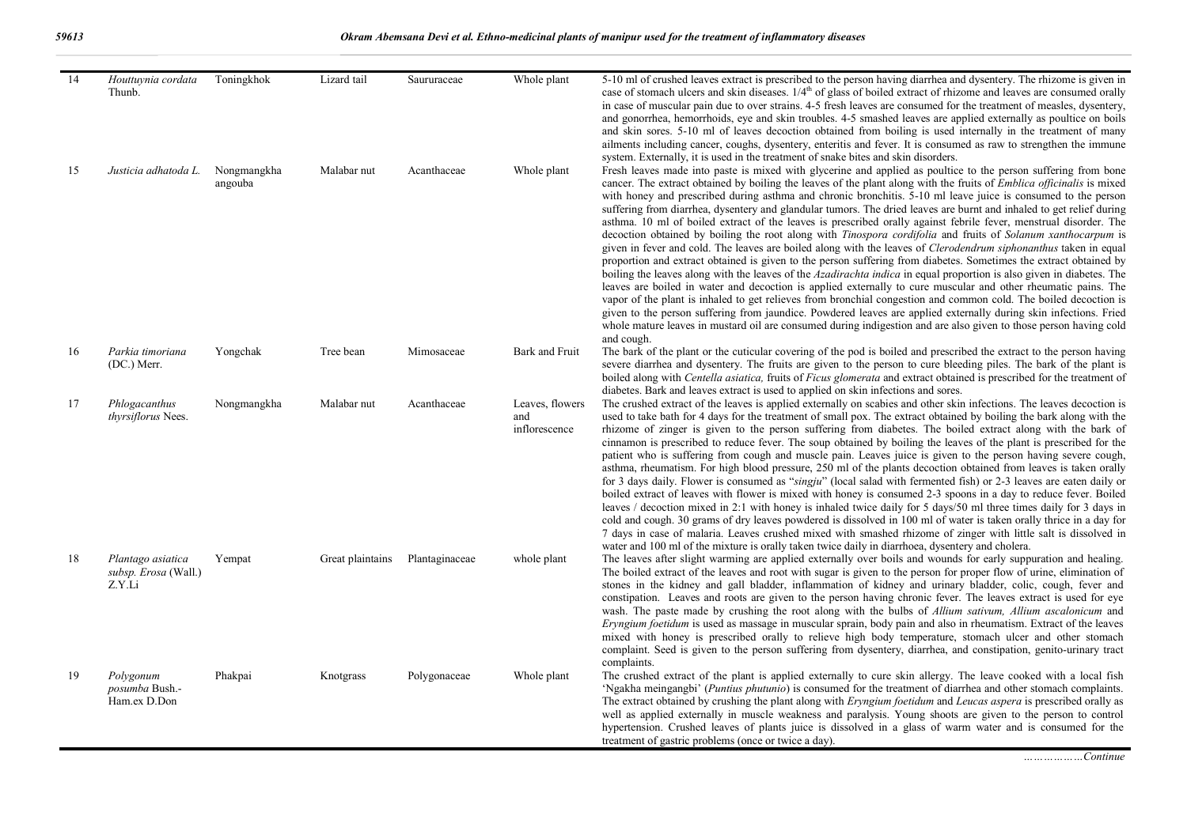| 14 | Houttuynia cordata<br>Thunb.                        | Toningkhok             | Lizard tail      | Saururaceae    | Whole plant                             | 5-10 ml of crushed leaves extract is prescribed to the person having diarrhea and dysentery. The rhizome is given in<br>case of stomach ulcers and skin diseases. $1/4th$ of glass of boiled extract of rhizome and leaves are consumed orally<br>in case of muscular pain due to over strains. 4-5 fresh leaves are consumed for the treatment of measles, dysentery,<br>and gonorrhea, hemorrhoids, eye and skin troubles. 4-5 smashed leaves are applied externally as poultice on boils<br>and skin sores. 5-10 ml of leaves decoction obtained from boiling is used internally in the treatment of many<br>ailments including cancer, coughs, dysentery, enteritis and fever. It is consumed as raw to strengthen the immune<br>system. Externally, it is used in the treatment of snake bites and skin disorders.                                                                                                                                                                                                                                                                                                                                                                                                                                                                                                                                                                                                                                                                                                                                                                      |
|----|-----------------------------------------------------|------------------------|------------------|----------------|-----------------------------------------|----------------------------------------------------------------------------------------------------------------------------------------------------------------------------------------------------------------------------------------------------------------------------------------------------------------------------------------------------------------------------------------------------------------------------------------------------------------------------------------------------------------------------------------------------------------------------------------------------------------------------------------------------------------------------------------------------------------------------------------------------------------------------------------------------------------------------------------------------------------------------------------------------------------------------------------------------------------------------------------------------------------------------------------------------------------------------------------------------------------------------------------------------------------------------------------------------------------------------------------------------------------------------------------------------------------------------------------------------------------------------------------------------------------------------------------------------------------------------------------------------------------------------------------------------------------------------------------------|
| 15 | Justicia adhatoda L.                                | Nongmangkha<br>angouba | Malabar nut      | Acanthaceae    | Whole plant                             | Fresh leaves made into paste is mixed with glycerine and applied as poultice to the person suffering from bone<br>cancer. The extract obtained by boiling the leaves of the plant along with the fruits of <i>Emblica officinalis</i> is mixed<br>with honey and prescribed during asthma and chronic bronchitis. 5-10 ml leave juice is consumed to the person<br>suffering from diarrhea, dysentery and glandular tumors. The dried leaves are burnt and inhaled to get relief during<br>asthma. 10 ml of boiled extract of the leaves is prescribed orally against febrile fever, menstrual disorder. The<br>decoction obtained by boiling the root along with Tinospora cordifolia and fruits of Solanum xanthocarpum is<br>given in fever and cold. The leaves are boiled along with the leaves of Clerodendrum siphonanthus taken in equal<br>proportion and extract obtained is given to the person suffering from diabetes. Sometimes the extract obtained by<br>boiling the leaves along with the leaves of the Azadirachta indica in equal proportion is also given in diabetes. The<br>leaves are boiled in water and decoction is applied externally to cure muscular and other rheumatic pains. The<br>vapor of the plant is inhaled to get relieves from bronchial congestion and common cold. The boiled decoction is<br>given to the person suffering from jaundice. Powdered leaves are applied externally during skin infections. Fried<br>whole mature leaves in mustard oil are consumed during indigestion and are also given to those person having cold<br>and cough. |
| 16 | Parkia timoriana<br>(DC.) Merr.                     | Yongchak               | Tree bean        | Mimosaceae     | Bark and Fruit                          | The bark of the plant or the cuticular covering of the pod is boiled and prescribed the extract to the person having<br>severe diarrhea and dysentery. The fruits are given to the person to cure bleeding piles. The bark of the plant is<br>boiled along with Centella asiatica, fruits of Ficus glomerata and extract obtained is prescribed for the treatment of<br>diabetes. Bark and leaves extract is used to applied on skin infections and sores.                                                                                                                                                                                                                                                                                                                                                                                                                                                                                                                                                                                                                                                                                                                                                                                                                                                                                                                                                                                                                                                                                                                                   |
| 17 | Phlogacanthus<br>thyrsiflorus Nees.                 | Nongmangkha            | Malabar nut      | Acanthaceae    | Leaves, flowers<br>and<br>inflorescence | The crushed extract of the leaves is applied externally on scabies and other skin infections. The leaves decoction is<br>used to take bath for 4 days for the treatment of small pox. The extract obtained by boiling the bark along with the<br>rhizome of zinger is given to the person suffering from diabetes. The boiled extract along with the bark of<br>cinnamon is prescribed to reduce fever. The soup obtained by boiling the leaves of the plant is prescribed for the<br>patient who is suffering from cough and muscle pain. Leaves juice is given to the person having severe cough,<br>asthma, rheumatism. For high blood pressure, 250 ml of the plants decoction obtained from leaves is taken orally<br>for 3 days daily. Flower is consumed as "singju" (local salad with fermented fish) or 2-3 leaves are eaten daily or<br>boiled extract of leaves with flower is mixed with honey is consumed 2-3 spoons in a day to reduce fever. Boiled<br>leaves / decoction mixed in 2:1 with honey is inhaled twice daily for 5 days/50 ml three times daily for 3 days in<br>cold and cough. 30 grams of dry leaves powdered is dissolved in 100 ml of water is taken orally thrice in a day for<br>7 days in case of malaria. Leaves crushed mixed with smashed rhizome of zinger with little salt is dissolved in<br>water and 100 ml of the mixture is orally taken twice daily in diarrhoea, dysentery and cholera.                                                                                                                                                       |
| 18 | Plantago asiatica<br>subsp. Erosa (Wall.)<br>Z.Y.Li | Yempat                 | Great plaintains | Plantaginaceae | whole plant                             | The leaves after slight warming are applied externally over boils and wounds for early suppuration and healing.<br>The boiled extract of the leaves and root with sugar is given to the person for proper flow of urine, elimination of<br>stones in the kidney and gall bladder, inflammation of kidney and urinary bladder, colic, cough, fever and<br>constipation. Leaves and roots are given to the person having chronic fever. The leaves extract is used for eye<br>wash. The paste made by crushing the root along with the bulbs of Allium sativum, Allium ascalonicum and<br>Eryngium foetidum is used as massage in muscular sprain, body pain and also in rheumatism. Extract of the leaves<br>mixed with honey is prescribed orally to relieve high body temperature, stomach ulcer and other stomach<br>complaint. Seed is given to the person suffering from dysentery, diarrhea, and constipation, genito-urinary tract<br>complaints.                                                                                                                                                                                                                                                                                                                                                                                                                                                                                                                                                                                                                                      |
| 19 | Polygonum<br>posumba Bush.-<br>Ham.ex D.Don         | Phakpai                | Knotgrass        | Polygonaceae   | Whole plant                             | The crushed extract of the plant is applied externally to cure skin allergy. The leave cooked with a local fish<br>'Ngakha meingangbi' (Puntius phutunio) is consumed for the treatment of diarrhea and other stomach complaints.<br>The extract obtained by crushing the plant along with Eryngium foetidum and Leucas aspera is prescribed orally as<br>well as applied externally in muscle weakness and paralysis. Young shoots are given to the person to control<br>hypertension. Crushed leaves of plants juice is dissolved in a glass of warm water and is consumed for the<br>treatment of gastric problems (once or twice a day).                                                                                                                                                                                                                                                                                                                                                                                                                                                                                                                                                                                                                                                                                                                                                                                                                                                                                                                                                 |

*………………Continue*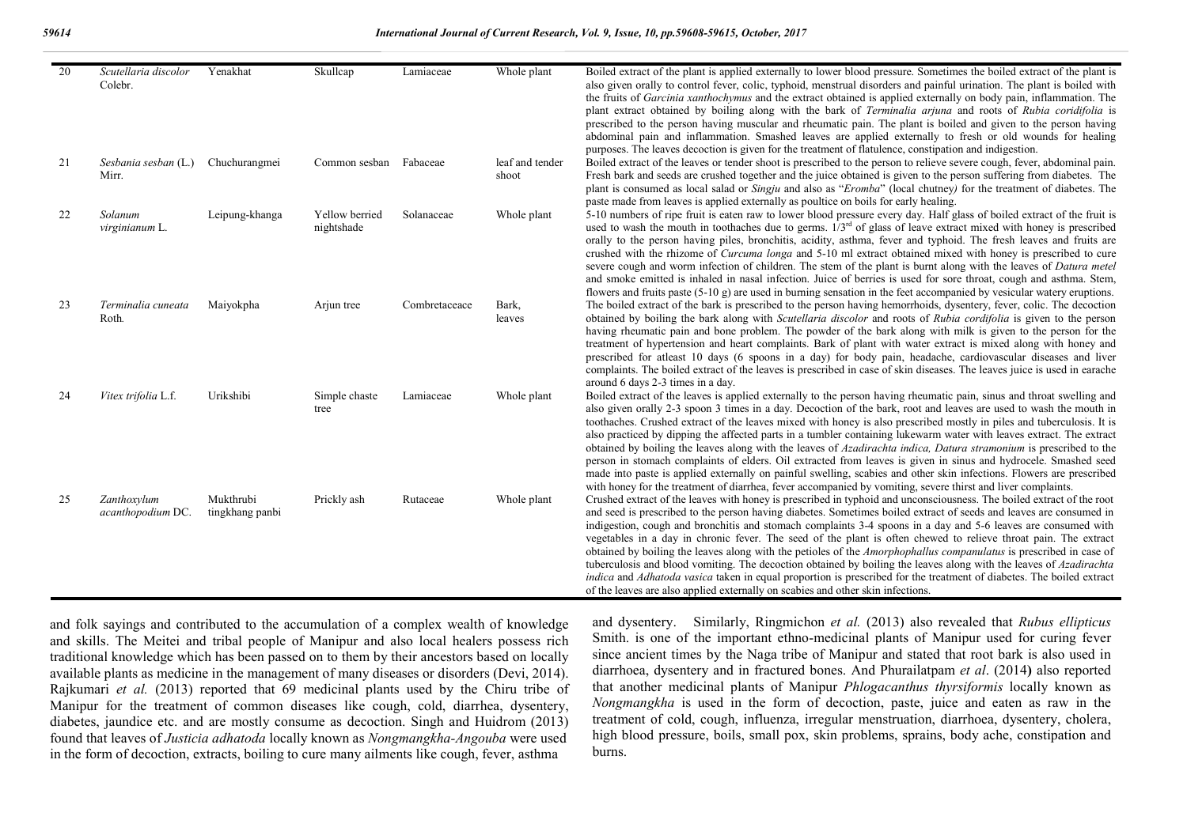| 20 | Scutellaria discolor<br>Colebr.  | Yenakhat                     | Skullcap                     | Lamiaceae     | Whole plant              | Boiled extract of the plant is applied externally to lower blood pressure. Sometimes the boiled extract of the plant is<br>also given orally to control fever, colic, typhoid, menstrual disorders and painful urination. The plant is boiled with<br>the fruits of <i>Garcinia xanthochymus</i> and the extract obtained is applied externally on body pain, inflammation. The<br>plant extract obtained by boiling along with the bark of <i>Terminalia arjuna</i> and roots of <i>Rubia coridifolia</i> is<br>prescribed to the person having muscular and rheumatic pain. The plant is boiled and given to the person having<br>abdominal pain and inflammation. Smashed leaves are applied externally to fresh or old wounds for healing<br>purposes. The leaves decoction is given for the treatment of flatulence, constipation and indigestion.                                                                                                                       |
|----|----------------------------------|------------------------------|------------------------------|---------------|--------------------------|-------------------------------------------------------------------------------------------------------------------------------------------------------------------------------------------------------------------------------------------------------------------------------------------------------------------------------------------------------------------------------------------------------------------------------------------------------------------------------------------------------------------------------------------------------------------------------------------------------------------------------------------------------------------------------------------------------------------------------------------------------------------------------------------------------------------------------------------------------------------------------------------------------------------------------------------------------------------------------|
| 21 | Sesbania sesban (L.)<br>Mirr.    | Chuchurangmei                | Common sesban Fabaceae       |               | leaf and tender<br>shoot | Boiled extract of the leaves or tender shoot is prescribed to the person to relieve severe cough, fever, abdominal pain.<br>Fresh bark and seeds are crushed together and the juice obtained is given to the person suffering from diabetes. The<br>plant is consumed as local salad or <i>Singju</i> and also as " <i>Eromba</i> " (local chutney) for the treatment of diabetes. The<br>paste made from leaves is applied externally as poultice on boils for early healing.                                                                                                                                                                                                                                                                                                                                                                                                                                                                                                |
| 22 | Solanum<br>virginianum L.        | Leipung-khanga               | Yellow berried<br>nightshade | Solanaceae    | Whole plant              | 5-10 numbers of ripe fruit is eaten raw to lower blood pressure every day. Half glass of boiled extract of the fruit is<br>used to wash the mouth in toothaches due to germs. $1/3^{rd}$ of glass of leave extract mixed with honey is prescribed<br>orally to the person having piles, bronchitis, acidity, asthma, fever and typhoid. The fresh leaves and fruits are<br>crushed with the rhizome of <i>Curcuma longa</i> and 5-10 ml extract obtained mixed with honey is prescribed to cure<br>severe cough and worm infection of children. The stem of the plant is burnt along with the leaves of <i>Datura metel</i><br>and smoke emitted is inhaled in nasal infection. Juice of berries is used for sore throat, cough and asthma. Stem,<br>flowers and fruits paste $(5-10)$ g) are used in burning sensation in the feet accompanied by vesicular watery eruptions.                                                                                                |
| 23 | Terminalia cuneata<br>Roth.      | Maiyokpha                    | Arjun tree                   | Combretaceace | Bark,<br>leaves          | The boiled extract of the bark is prescribed to the person having hemorrhoids, dysentery, fever, colic. The decoction<br>obtained by boiling the bark along with Scutellaria discolor and roots of Rubia cordifolia is given to the person<br>having rheumatic pain and bone problem. The powder of the bark along with milk is given to the person for the<br>treatment of hypertension and heart complaints. Bark of plant with water extract is mixed along with honey and<br>prescribed for atleast 10 days (6 spoons in a day) for body pain, headache, cardiovascular diseases and liver<br>complaints. The boiled extract of the leaves is prescribed in case of skin diseases. The leaves juice is used in earache<br>around 6 days 2-3 times in a day.                                                                                                                                                                                                               |
| 24 | Vitex trifolia L.f.              | Urikshibi                    | Simple chaste<br>tree        | Lamiaceae     | Whole plant              | Boiled extract of the leaves is applied externally to the person having rheumatic pain, sinus and throat swelling and<br>also given orally 2-3 spoon 3 times in a day. Decoction of the bark, root and leaves are used to wash the mouth in<br>toothaches. Crushed extract of the leaves mixed with honey is also prescribed mostly in piles and tuberculosis. It is<br>also practiced by dipping the affected parts in a tumbler containing lukewarm water with leaves extract. The extract<br>obtained by boiling the leaves along with the leaves of Azadirachta indica, Datura stramonium is prescribed to the<br>person in stomach complaints of elders. Oil extracted from leaves is given in sinus and hydrocele. Smashed seed<br>made into paste is applied externally on painful swelling, scabies and other skin infections. Flowers are prescribed<br>with honey for the treatment of diarrhea, fever accompanied by vomiting, severe thirst and liver complaints. |
| 25 | Zanthoxylum<br>acanthopodium DC. | Mukthrubi<br>tingkhang panbi | Prickly ash                  | Rutaceae      | Whole plant              | Crushed extract of the leaves with honey is prescribed in typhoid and unconsciousness. The boiled extract of the root<br>and seed is prescribed to the person having diabetes. Sometimes boiled extract of seeds and leaves are consumed in<br>indigestion, cough and bronchitis and stomach complaints 3-4 spoons in a day and 5-6 leaves are consumed with<br>vegetables in a day in chronic fever. The seed of the plant is often chewed to relieve throat pain. The extract<br>obtained by boiling the leaves along with the petioles of the <i>Amorphophallus companulatus</i> is prescribed in case of<br>tuberculosis and blood vomiting. The decoction obtained by boiling the leaves along with the leaves of Azadirachta<br>indica and Adhatoda vasica taken in equal proportion is prescribed for the treatment of diabetes. The boiled extract<br>of the leaves are also applied externally on scabies and other skin infections.                                 |

and folk sayings and contributed to the accumulation of a complex wealth of knowledge and skills. The Meitei and tribal people of Manipur and also local healers possess rich traditional knowledge which has been passed on to them by their ancestors based on locally available plants as medicine in the management of many diseases or disorders (Devi, 2014). Rajkumari *et al.* (2013) reported that 69 medicinal plants used by the Chiru tribe of Manipur for the treatment of common diseases like cough, cold, diarrhea, dysentery, diabetes, jaundice etc. and are mostly consume as decoction. Singh and Huidrom (2013) found that leaves of *Justicia adhatoda* locally known as *Nongmangkha-Angouba* were used in the form of decoction, extracts, boiling to cure many ailments like cough, fever, asthma

and dysentery. Similarly, Ringmichon *et al.* (2013) also revealed that *Rubus ellipticus*  Smith. is one of the important ethno-medicinal plants of Manipur used for curing fever since ancient times by the Naga tribe of Manipur and stated that root bark is also used in diarrhoea, dysentery and in fractured bones. And Phurailatpam *et al*. (2014**)** also reported that another medicinal plants of Manipur *Phlogacanthus thyrsiformis* locally known as *Nongmangkha* is used in the form of decoction, paste, juice and eaten as raw in the treatment of cold, cough, influenza, irregular menstruation, diarrhoea, dysentery, cholera, high blood pressure, boils, small pox, skin problems, sprains, body ache, constipation and burns.